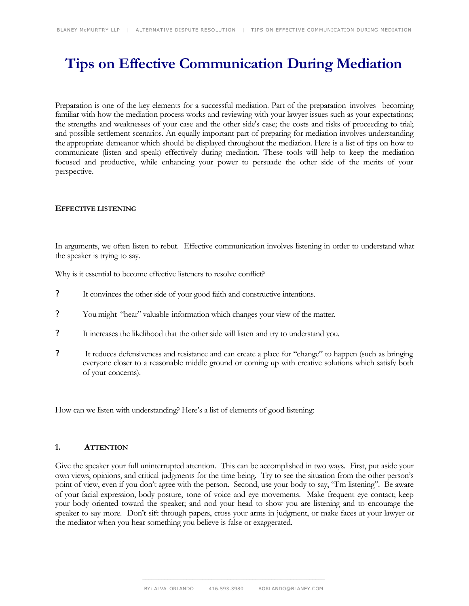# **Tips on Effective Communication During Mediation**

Preparation is one of the key elements for a successful mediation. Part of the preparation involves becoming familiar with how the mediation process works and reviewing with your lawyer issues such as your expectations; the strengths and weaknesses of your case and the other side's case; the costs and risks of proceeding to trial; and possible settlement scenarios. An equally important part of preparing for mediation involves understanding the appropriate demeanor which should be displayed throughout the mediation. Here is a list of tips on how to communicate (listen and speak) effectively during mediation. These tools will help to keep the mediation focused and productive, while enhancing your power to persuade the other side of the merits of your perspective.

## **EFFECTIVE LISTENING**

In arguments, we often listen to rebut. Effective communication involves listening in order to understand what the speaker is trying to say.

Why is it essential to become effective listeners to resolve conflict?

- ? It convinces the other side of your good faith and constructive intentions.
- ? You might "hear" valuable information which changes your view of the matter.
- ? It increases the likelihood that the other side will listen and try to understand you.
- ? It reduces defensiveness and resistance and can create a place for "change" to happen (such as bringing everyone closer to a reasonable middle ground or coming up with creative solutions which satisfy both of your concerns).

How can we listen with understanding? Here's a list of elements of good listening:

#### **1. ATTENTION**

Give the speaker your full uninterrupted attention. This can be accomplished in two ways. First, put aside your own views, opinions, and critical judgments for the time being. Try to see the situation from the other person's point of view, even if you don't agree with the person. Second, use your body to say, "I'm listening". Be aware of your facial expression, body posture, tone of voice and eye movements. Make frequent eye contact; keep your body oriented toward the speaker; and nod your head to show you are listening and to encourage the speaker to say more. Don't sift through papers, cross your arms in judgment, or make faces at your lawyer or the mediator when you hear something you believe is false or exaggerated.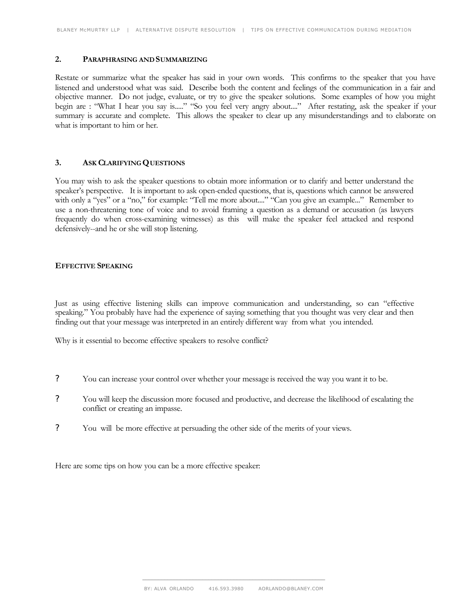#### **2. PARAPHRASING AND SUMMARIZING**

Restate or summarize what the speaker has said in your own words. This confirms to the speaker that you have listened and understood what was said. Describe both the content and feelings of the communication in a fair and objective manner. Do not judge, evaluate, or try to give the speaker solutions. Some examples of how you might begin are : "What I hear you say is....." "So you feel very angry about...." After restating, ask the speaker if your summary is accurate and complete. This allows the speaker to clear up any misunderstandings and to elaborate on what is important to him or her.

## **3. ASK CLARIFYING QUESTIONS**

You may wish to ask the speaker questions to obtain more information or to clarify and better understand the speaker's perspective. It is important to ask open-ended questions, that is, questions which cannot be answered with only a "yes" or a "no," for example: "Tell me more about...." "Can you give an example..." Remember to use a non-threatening tone of voice and to avoid framing a question as a demand or accusation (as lawyers frequently do when cross-examining witnesses) as this will make the speaker feel attacked and respond defensively--and he or she will stop listening.

#### **EFFECTIVE SPEAKING**

Just as using effective listening skills can improve communication and understanding, so can "effective speaking." You probably have had the experience of saying something that you thought was very clear and then finding out that your message was interpreted in an entirely different way from what you intended.

Why is it essential to become effective speakers to resolve conflict?

- ? You can increase your control over whether your message is received the way you want it to be.
- ? You will keep the discussion more focused and productive, and decrease the likelihood of escalating the conflict or creating an impasse.
- ? You will be more effective at persuading the other side of the merits of your views.

Here are some tips on how you can be a more effective speaker: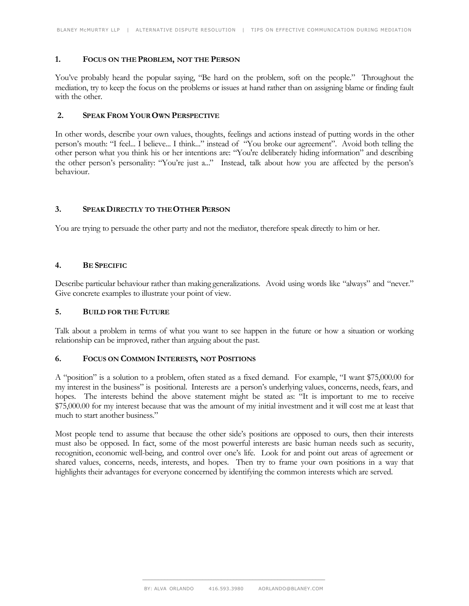# **1. FOCUS ON THE PROBLEM, NOT THE PERSON**

You've probably heard the popular saying, "Be hard on the problem, soft on the people." Throughout the mediation, try to keep the focus on the problems or issues at hand rather than on assigning blame or finding fault with the other.

## **2. SPEAK FROM YOUR OWN PERSPECTIVE**

In other words, describe your own values, thoughts, feelings and actions instead of putting words in the other person's mouth: "I feel... I believe... I think..." instead of "You broke our agreement". Avoid both telling the other person what you think his or her intentions are: "You're deliberately hiding information" and describing the other person's personality: "You're just a..." Instead, talk about how you are affected by the person's behaviour.

# **3. SPEAK DIRECTLY TO THE OTHER PERSON**

You are trying to persuade the other party and not the mediator, therefore speak directly to him or her.

## **4. BE SPECIFIC**

Describe particular behaviour rather than making generalizations. Avoid using words like "always" and "never." Give concrete examples to illustrate your point of view.

#### **5. BUILD FOR THE FUTURE**

Talk about a problem in terms of what you want to see happen in the future or how a situation or working relationship can be improved, rather than arguing about the past.

#### **6. FOCUS ON COMMON INTERESTS, NOT POSITIONS**

A "position" is a solution to a problem, often stated as a fixed demand. For example, "I want \$75,000.00 for my interest in the business" is positional. Interests are a person's underlying values, concerns, needs, fears, and hopes. The interests behind the above statement might be stated as: "It is important to me to receive \$75,000.00 for my interest because that was the amount of my initial investment and it will cost me at least that much to start another business."

Most people tend to assume that because the other side's positions are opposed to ours, then their interests must also be opposed. In fact, some of the most powerful interests are basic human needs such as security, recognition, economic well-being, and control over one's life. Look for and point out areas of agreement or shared values, concerns, needs, interests, and hopes. Then try to frame your own positions in a way that highlights their advantages for everyone concerned by identifying the common interests which are served.